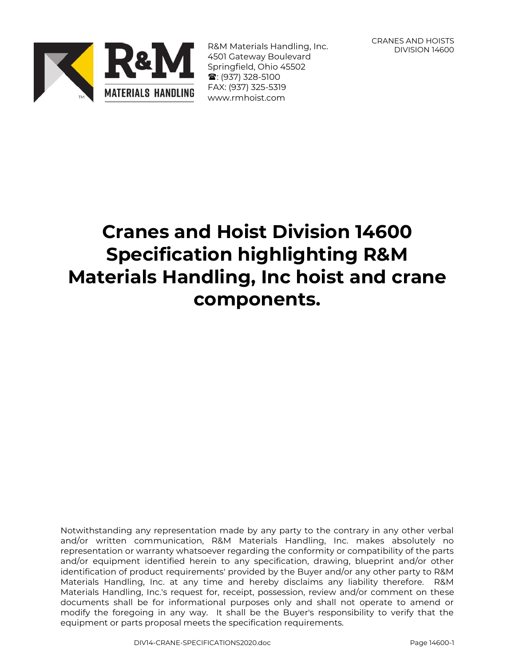

R&M Materials Handling, Inc. 4501 Gateway Boulevard Springfield, Ohio 45502 **雪**: (937) 328-5100 FAX: (937) 325-5319 www.rmhoist.com

CRANES AND HOISTS DIVISION 14600

# **Cranes and Hoist Division 14600 Specification highlighting R&M Materials Handling, Inc hoist and crane components.**

Notwithstanding any representation made by any party to the contrary in any other verbal and/or written communication, R&M Materials Handling, Inc. makes absolutely no representation or warranty whatsoever regarding the conformity or compatibility of the parts and/or equipment identified herein to any specification, drawing, blueprint and/or other identification of product requirements' provided by the Buyer and/or any other party to R&M Materials Handling, Inc. at any time and hereby disclaims any liability therefore. R&M Materials Handling, Inc.'s request for, receipt, possession, review and/or comment on these documents shall be for informational purposes only and shall not operate to amend or modify the foregoing in any way. It shall be the Buyer's responsibility to verify that the equipment or parts proposal meets the specification requirements.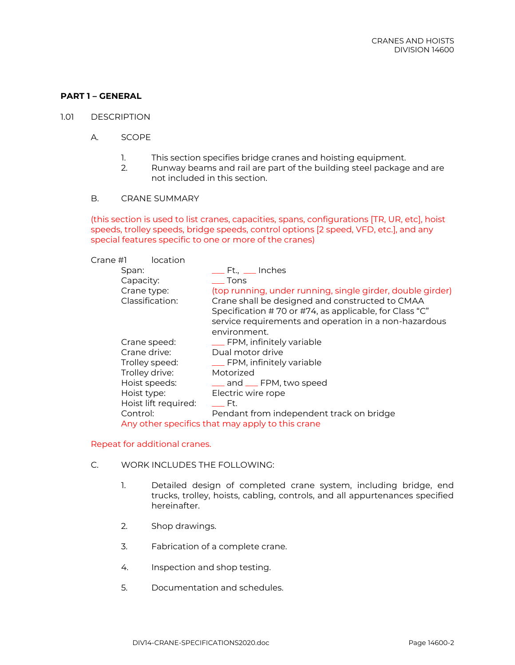# **PART 1 – GENERAL**

- 1.01 DESCRIPTION
	- A. SCOPE
		- 1. This section specifies bridge cranes and hoisting equipment.
		- 2. Runway beams and rail are part of the building steel package and are not included in this section.
	- B. CRANE SUMMARY

(this section is used to list cranes, capacities, spans, configurations [TR, UR, etc], hoist speeds, trolley speeds, bridge speeds, control options [2 speed, VFD, etc.], and any special features specific to one or more of the cranes)

| Crane #1             | location                                         |                                                            |
|----------------------|--------------------------------------------------|------------------------------------------------------------|
| Span:                |                                                  |                                                            |
| Capacity:            | Tons                                             |                                                            |
| Crane type:          |                                                  | (top running, under running, single girder, double girder) |
| Classification:      |                                                  | Crane shall be designed and constructed to CMAA            |
|                      |                                                  | Specification #70 or #74, as applicable, for Class "C"     |
|                      |                                                  | service requirements and operation in a non-hazardous      |
|                      | environment.                                     |                                                            |
| Crane speed:         |                                                  | __ FPM, infinitely variable                                |
| Crane drive:         | Dual motor drive                                 |                                                            |
| Trolley speed:       |                                                  | __ FPM, infinitely variable                                |
| Trolley drive:       | Motorized                                        |                                                            |
| Hoist speeds:        |                                                  | <u>_</u> _ and __ FPM, two speed                           |
| Hoist type:          | Electric wire rope                               |                                                            |
| Hoist lift required: | e Ft.                                            |                                                            |
| Control:             |                                                  | Pendant from independent track on bridge                   |
|                      | Any other specifics that may apply to this crane |                                                            |

#### Repeat for additional cranes.

- C. WORK INCLUDES THE FOLLOWING:
	- 1. Detailed design of completed crane system, including bridge, end trucks, trolley, hoists, cabling, controls, and all appurtenances specified hereinafter.
	- 2. Shop drawings.
	- 3. Fabrication of a complete crane.
	- 4. Inspection and shop testing.
	- 5. Documentation and schedules.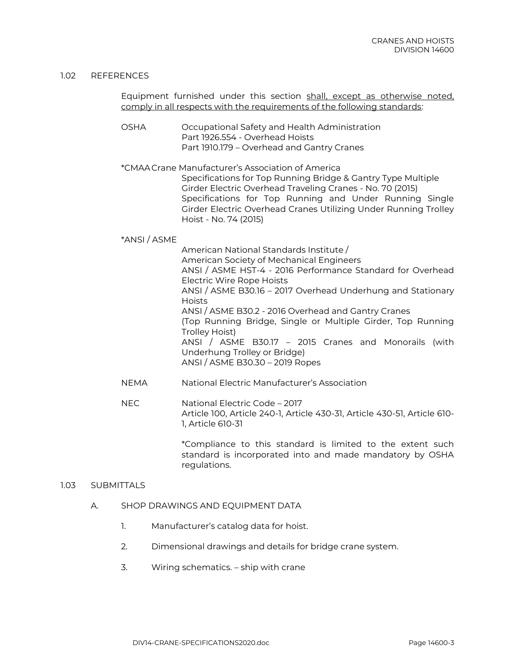#### 1.02 REFERENCES

Equipment furnished under this section shall, except as otherwise noted, comply in all respects with the requirements of the following standards:

- OSHA Occupational Safety and Health Administration Part 1926.554 - Overhead Hoists Part 1910.179 – Overhead and Gantry Cranes
- \*CMAACrane Manufacturer's Association of America Specifications for Top Running Bridge & Gantry Type Multiple Girder Electric Overhead Traveling Cranes - No. 70 (2015) Specifications for Top Running and Under Running Single Girder Electric Overhead Cranes Utilizing Under Running Trolley Hoist - No. 74 (2015)

# \*ANSI / ASME

American National Standards Institute / American Society of Mechanical Engineers ANSI / ASME HST-4 - 2016 Performance Standard for Overhead Electric Wire Rope Hoists ANSI / ASME B30.16 – 2017 Overhead Underhung and Stationary Hoists ANSI / ASME B30.2 - 2016 Overhead and Gantry Cranes (Top Running Bridge, Single or Multiple Girder, Top Running Trolley Hoist) ANSI / ASME B30.17 – 2015 Cranes and Monorails (with Underhung Trolley or Bridge) ANSI / ASME B30.30 – 2019 Ropes

- NEMA National Electric Manufacturer's Association
- NEC National Electric Code 2017 Article 100, Article 240-1, Article 430-31, Article 430-51, Article 610- 1, Article 610-31

\*Compliance to this standard is limited to the extent such standard is incorporated into and made mandatory by OSHA regulations.

# 1.03 SUBMITTALS

#### A. SHOP DRAWINGS AND EQUIPMENT DATA

- 1. Manufacturer's catalog data for hoist.
- 2. Dimensional drawings and details for bridge crane system.
- 3. Wiring schematics. ship with crane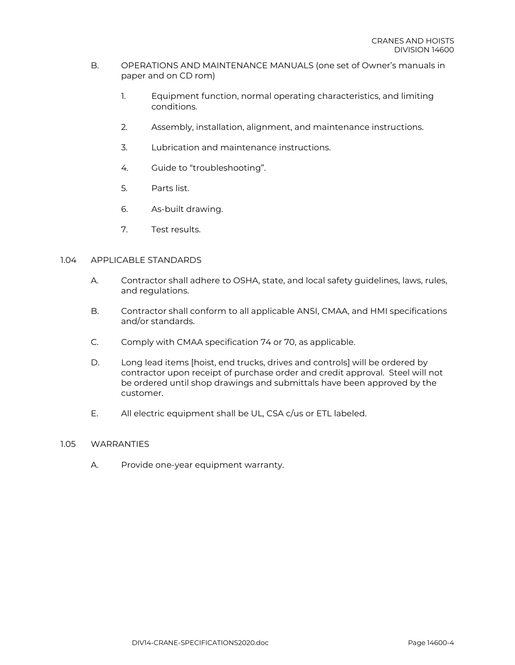### B. OPERATIONS AND MAINTENANCE MANUALS (one set of Owner's manuals in paper and on CD rom)

- 1. Equipment function, normal operating characteristics, and limiting conditions.
- 2. Assembly, installation, alignment, and maintenance instructions.
- 3. Lubrication and maintenance instructions.
- 4. Guide to "troubleshooting".
- 5. Parts list.
- 6. As-built drawing.
- 7. Test results.

# 1.04 APPLICABLE STANDARDS

- A. Contractor shall adhere to OSHA, state, and local safety guidelines, laws, rules, and regulations.
- B. Contractor shall conform to all applicable ANSI, CMAA, and HMI specifications and/or standards.
- C. Comply with CMAA specification 74 or 70, as applicable.
- D. Long lead items [hoist, end trucks, drives and controls] will be ordered by contractor upon receipt of purchase order and credit approval. Steel will not be ordered until shop drawings and submittals have been approved by the customer.
- E. All electric equipment shall be UL, CSA c/us or ETL labeled.

#### 1.05 WARRANTIES

A. Provide one-year equipment warranty.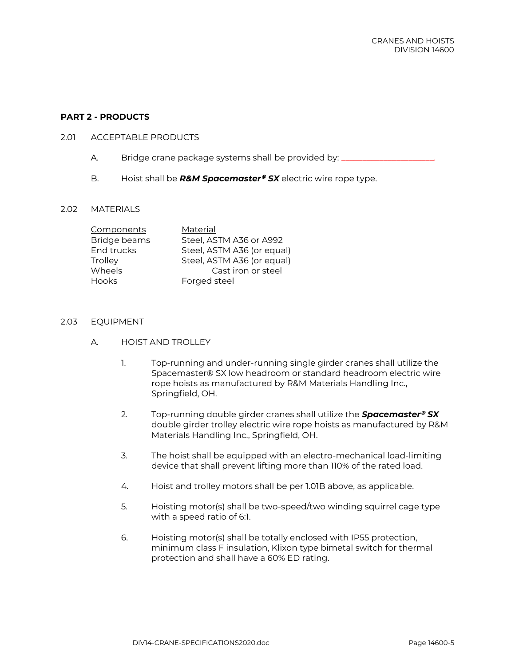# **PART 2 - PRODUCTS**

#### 2.01 ACCEPTABLE PRODUCTS

- A. Bridge crane package systems shall be provided by: \_\_\_\_\_\_\_\_\_\_\_\_\_\_\_\_\_\_\_\_\_\_\_\_\_\_
- B. Hoist shall be **R&M Spacemaster<sup>®</sup> SX** electric wire rope type.

#### 2.02 MATERIALS

| Components   | Material                   |
|--------------|----------------------------|
| Bridge beams | Steel, ASTM A36 or A992    |
| End trucks   | Steel, ASTM A36 (or equal) |
| Trolley      | Steel, ASTM A36 (or equal) |
| Wheels       | Cast iron or steel         |
| Hooks        | Forged steel               |

#### 2.03 EQUIPMENT

- A. HOIST AND TROLLEY
	- 1. Top-running and under-running single girder cranes shall utilize the Spacemaster® SX low headroom or standard headroom electric wire rope hoists as manufactured by R&M Materials Handling Inc., Springfield, OH.
	- 2. Top-running double girder cranes shall utilize the **Spacemaster<sup>®</sup> SX** double girder trolley electric wire rope hoists as manufactured by R&M Materials Handling Inc., Springfield, OH.
	- 3. The hoist shall be equipped with an electro-mechanical load-limiting device that shall prevent lifting more than 110% of the rated load.
	- 4. Hoist and trolley motors shall be per 1.01B above, as applicable.
	- 5. Hoisting motor(s) shall be two-speed/two winding squirrel cage type with a speed ratio of 6:1.
	- 6. Hoisting motor(s) shall be totally enclosed with IP55 protection, minimum class F insulation, Klixon type bimetal switch for thermal protection and shall have a 60% ED rating.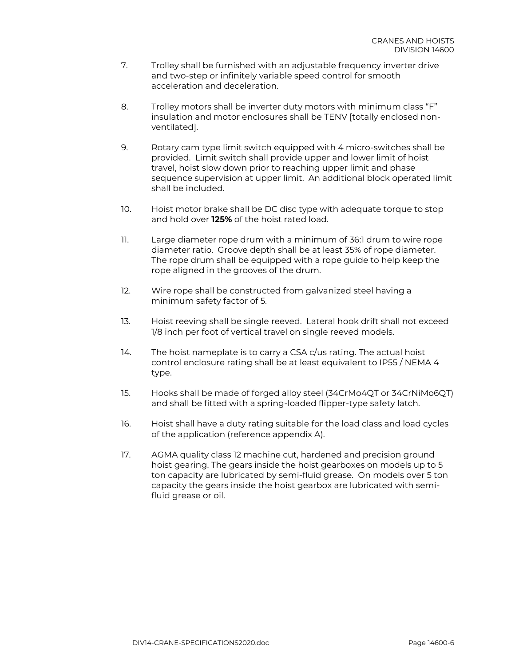- 7. Trolley shall be furnished with an adjustable frequency inverter drive and two-step or infinitely variable speed control for smooth acceleration and deceleration.
- 8. Trolley motors shall be inverter duty motors with minimum class "F" insulation and motor enclosures shall be TENV [totally enclosed nonventilated].
- 9. Rotary cam type limit switch equipped with 4 micro-switches shall be provided. Limit switch shall provide upper and lower limit of hoist travel, hoist slow down prior to reaching upper limit and phase sequence supervision at upper limit. An additional block operated limit shall be included.
- 10. Hoist motor brake shall be DC disc type with adequate torque to stop and hold over **125%** of the hoist rated load.
- 11. Large diameter rope drum with a minimum of 36:1 drum to wire rope diameter ratio. Groove depth shall be at least 35% of rope diameter. The rope drum shall be equipped with a rope guide to help keep the rope aligned in the grooves of the drum.
- 12. Wire rope shall be constructed from galvanized steel having a minimum safety factor of 5.
- 13. Hoist reeving shall be single reeved. Lateral hook drift shall not exceed 1/8 inch per foot of vertical travel on single reeved models.
- 14. The hoist nameplate is to carry a CSA c/us rating. The actual hoist control enclosure rating shall be at least equivalent to IP55 / NEMA 4 type.
- 15. Hooks shall be made of forged alloy steel (34CrMo4QT or 34CrNiMo6QT) and shall be fitted with a spring-loaded flipper-type safety latch.
- 16. Hoist shall have a duty rating suitable for the load class and load cycles of the application (reference appendix A).
- 17. AGMA quality class 12 machine cut, hardened and precision ground hoist gearing. The gears inside the hoist gearboxes on models up to 5 ton capacity are lubricated by semi-fluid grease. On models over 5 ton capacity the gears inside the hoist gearbox are lubricated with semifluid grease or oil.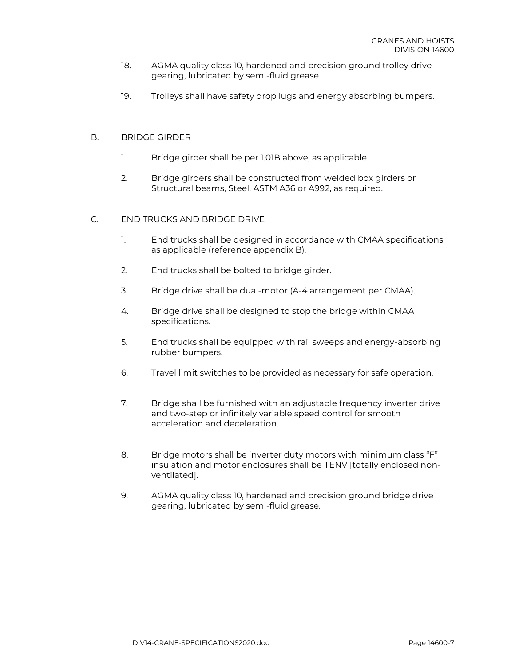- 18. AGMA quality class 10, hardened and precision ground trolley drive gearing, lubricated by semi-fluid grease.
- 19. Trolleys shall have safety drop lugs and energy absorbing bumpers.

# B. BRIDGE GIRDER

- 1. Bridge girder shall be per 1.01B above, as applicable.
- 2. Bridge girders shall be constructed from welded box girders or Structural beams, Steel, ASTM A36 or A992, as required.

# C. END TRUCKS AND BRIDGE DRIVE

- 1. End trucks shall be designed in accordance with CMAA specifications as applicable (reference appendix B).
- 2. End trucks shall be bolted to bridge girder.
- 3. Bridge drive shall be dual-motor (A-4 arrangement per CMAA).
- 4. Bridge drive shall be designed to stop the bridge within CMAA specifications.
- 5. End trucks shall be equipped with rail sweeps and energy-absorbing rubber bumpers.
- 6. Travel limit switches to be provided as necessary for safe operation.
- 7. Bridge shall be furnished with an adjustable frequency inverter drive and two-step or infinitely variable speed control for smooth acceleration and deceleration.
- 8. Bridge motors shall be inverter duty motors with minimum class "F" insulation and motor enclosures shall be TENV [totally enclosed nonventilated].
- 9. AGMA quality class 10, hardened and precision ground bridge drive gearing, lubricated by semi-fluid grease.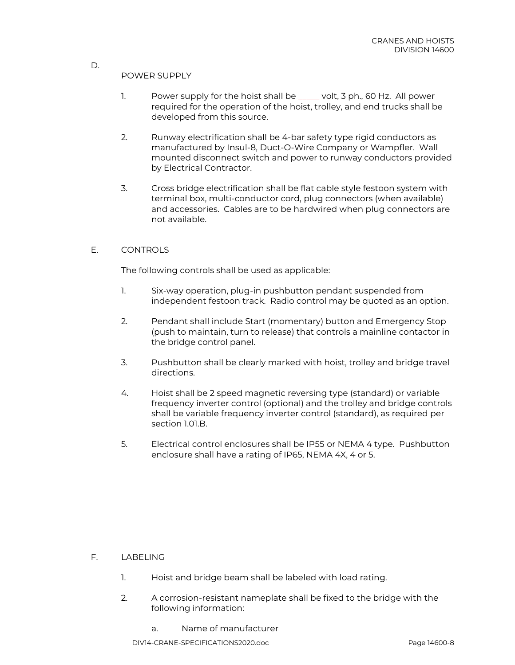# POWER SUPPLY

D.

- 1. Power supply for the hoist shall be \_\_\_\_\_ volt, 3 ph., 60 Hz. All power required for the operation of the hoist, trolley, and end trucks shall be developed from this source.
- 2. Runway electrification shall be 4-bar safety type rigid conductors as manufactured by Insul-8, Duct-O-Wire Company or Wampfler. Wall mounted disconnect switch and power to runway conductors provided by Electrical Contractor.
- 3. Cross bridge electrification shall be flat cable style festoon system with terminal box, multi-conductor cord, plug connectors (when available) and accessories. Cables are to be hardwired when plug connectors are not available.

# E. CONTROLS

The following controls shall be used as applicable:

- 1. Six-way operation, plug-in pushbutton pendant suspended from independent festoon track. Radio control may be quoted as an option.
- 2. Pendant shall include Start (momentary) button and Emergency Stop (push to maintain, turn to release) that controls a mainline contactor in the bridge control panel.
- 3. Pushbutton shall be clearly marked with hoist, trolley and bridge travel directions.
- 4. Hoist shall be 2 speed magnetic reversing type (standard) or variable frequency inverter control (optional) and the trolley and bridge controls shall be variable frequency inverter control (standard), as required per section 1.01.B.
- 5. Electrical control enclosures shall be IP55 or NEMA 4 type. Pushbutton enclosure shall have a rating of IP65, NEMA 4X, 4 or 5.

# F. LABELING

- 1. Hoist and bridge beam shall be labeled with load rating.
- 2. A corrosion-resistant nameplate shall be fixed to the bridge with the following information:
	- a. Name of manufacturer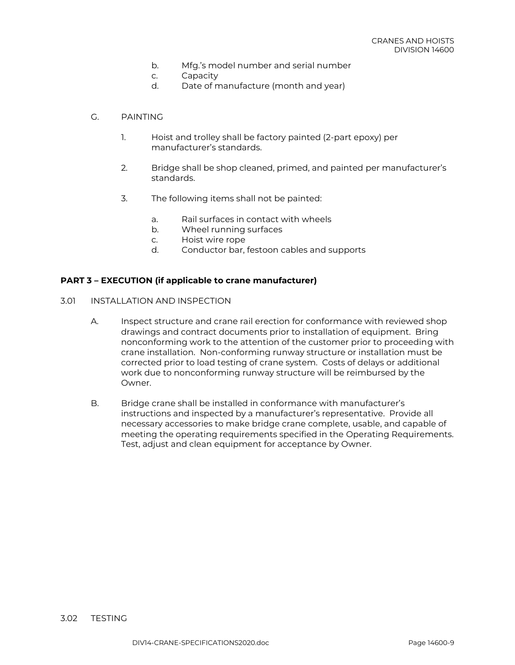- b. Mfg.'s model number and serial number
- c. Capacity
- d. Date of manufacture (month and year)

### G. PAINTING

- 1. Hoist and trolley shall be factory painted (2-part epoxy) per manufacturer's standards.
- 2. Bridge shall be shop cleaned, primed, and painted per manufacturer's standards.
- 3. The following items shall not be painted:
	- a. Rail surfaces in contact with wheels
	- b. Wheel running surfaces
	- c. Hoist wire rope
	- d. Conductor bar, festoon cables and supports

# **PART 3 – EXECUTION (if applicable to crane manufacturer)**

- 3.01 INSTALLATION AND INSPECTION
	- A. Inspect structure and crane rail erection for conformance with reviewed shop drawings and contract documents prior to installation of equipment. Bring nonconforming work to the attention of the customer prior to proceeding with crane installation. Non-conforming runway structure or installation must be corrected prior to load testing of crane system. Costs of delays or additional work due to nonconforming runway structure will be reimbursed by the Owner.
	- B. Bridge crane shall be installed in conformance with manufacturer's instructions and inspected by a manufacturer's representative. Provide all necessary accessories to make bridge crane complete, usable, and capable of meeting the operating requirements specified in the Operating Requirements. Test, adjust and clean equipment for acceptance by Owner.